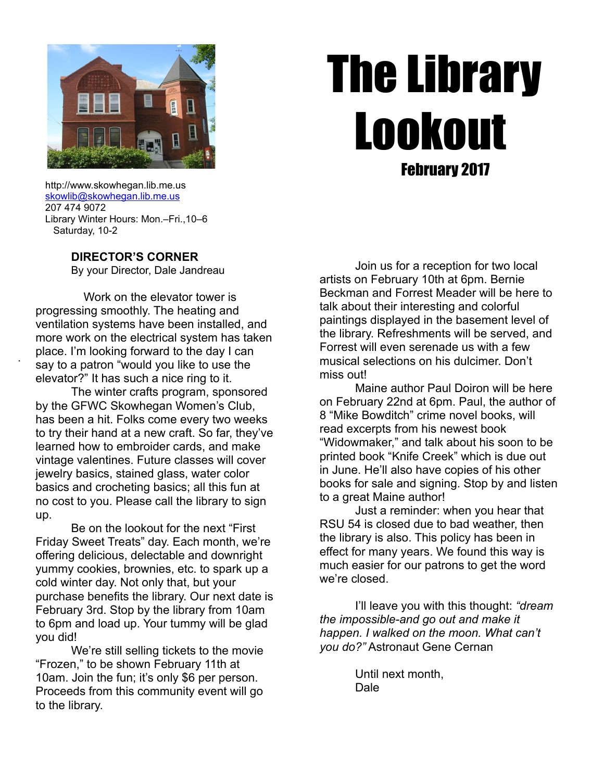

# The Library Lookout February 2017

 http://www.skowhegan.lib.me.us [skowlib@skowhegan.lib.me.us](mailto:skowlib@skowhegan.lib.me.us) 207 474 9072 Library Winter Hours: Mon.–Fri.,10–6 Saturday, 10-2

.

## **DIRECTOR'S CORNER**

By your Director, Dale Jandreau

 Work on the elevator tower is progressing smoothly. The heating and ventilation systems have been installed, and more work on the electrical system has taken place. I'm looking forward to the day I can say to a patron "would you like to use the elevator?" It has such a nice ring to it.

 The winter crafts program, sponsored by the GFWC Skowhegan Women's Club, has been a hit. Folks come every two weeks to try their hand at a new craft. So far, they've learned how to embroider cards, and make vintage valentines. Future classes will cover jewelry basics, stained glass, water color basics and crocheting basics; all this fun at no cost to you. Please call the library to sign up.

 Be on the lookout for the next "First Friday Sweet Treats" day. Each month, we're offering delicious, delectable and downright yummy cookies, brownies, etc. to spark up a cold winter day. Not only that, but your purchase benefits the library. Our next date is February 3rd. Stop by the library from 10am to 6pm and load up. Your tummy will be glad you did!

 We're still selling tickets to the movie "Frozen," to be shown February 11th at 10am. Join the fun; it's only \$6 per person. Proceeds from this community event will go to the library.

Join us for a reception for two local artists on February 10th at 6pm. Bernie Beckman and Forrest Meader will be here to talk about their interesting and colorful paintings displayed in the basement level of the library. Refreshments will be served, and Forrest will even serenade us with a few musical selections on his dulcimer. Don't miss out!

 Maine author Paul Doiron will be here on February 22nd at 6pm. Paul, the author of 8 "Mike Bowditch" crime novel books, will read excerpts from his newest book "Widowmaker," and talk about his soon to be printed book "Knife Creek" which is due out in June. He'll also have copies of his other books for sale and signing. Stop by and listen to a great Maine author!

 Just a reminder: when you hear that RSU 54 is closed due to bad weather, then the library is also. This policy has been in effect for many years. We found this way is much easier for our patrons to get the word we're closed.

 I'll leave you with this thought: *"dream the impossible-and go out and make it happen. I walked on the moon. What can't you do?"* Astronaut Gene Cernan

> Until next month, Dale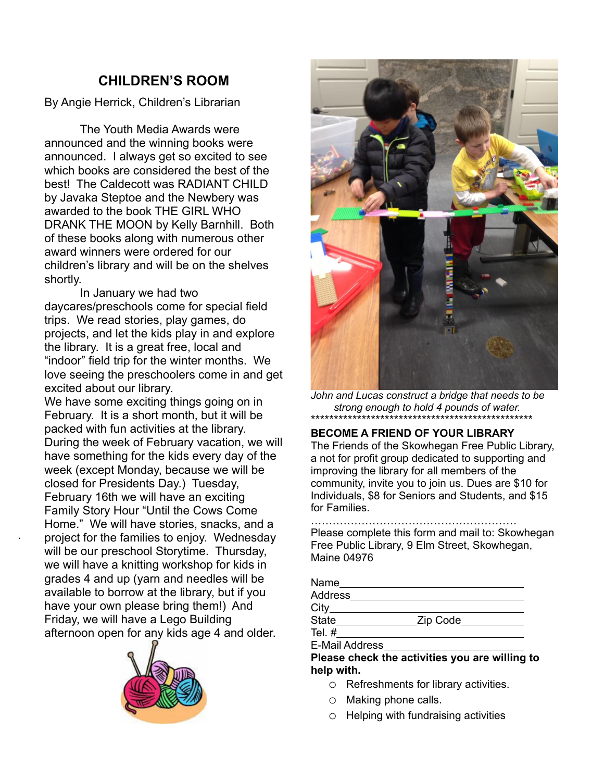# **CHILDREN'S ROOM**

By Angie Herrick, Children's Librarian

The Youth Media Awards were announced and the winning books were announced. I always get so excited to see which books are considered the best of the best! The Caldecott was RADIANT CHILD by Javaka Steptoe and the Newbery was awarded to the book THE GIRL WHO DRANK THE MOON by Kelly Barnhill. Both of these books along with numerous other award winners were ordered for our children's library and will be on the shelves shortly.

In January we had two daycares/preschools come for special field trips. We read stories, play games, do projects, and let the kids play in and explore the library. It is a great free, local and "indoor" field trip for the winter months. We love seeing the preschoolers come in and get excited about our library.

We have some exciting things going on in February. It is a short month, but it will be packed with fun activities at the library. During the week of February vacation, we will have something for the kids every day of the week (except Monday, because we will be closed for Presidents Day.) Tuesday, February 16th we will have an exciting Family Story Hour "Until the Cows Come Home." We will have stories, snacks, and a project for the families to enjoy. Wednesday will be our preschool Storytime. Thursday, we will have a knitting workshop for kids in grades 4 and up (yarn and needles will be available to borrow at the library, but if you have your own please bring them!) And Friday, we will have a Lego Building afternoon open for any kids age 4 and older.

.





*John and Lucas construct a bridge that needs to be strong enough to hold 4 pounds of water.* \*\*\*\*\*\*\*\*\*\*\*\*\*\*\*\*\*\*\*\*\*\*\*\*\*\*\*\*\*\*\*\*\*\*\*\*\*\*\*\*\*\*\*\*\*\*\*\*

## **BECOME A FRIEND OF YOUR LIBRARY**

The Friends of the Skowhegan Free Public Library, a not for profit group dedicated to supporting and improving the library for all members of the community, invite you to join us. Dues are \$10 for Individuals, \$8 for Seniors and Students, and \$15 for Families.

………………………………………………… Please complete this form and mail to: Skowhegan Free Public Library, 9 Elm Street, Skowhegan, Maine 04976

| Name           |          |  |
|----------------|----------|--|
| <b>Address</b> |          |  |
| $City_$        |          |  |
| State          | Zip Code |  |
| Tel.#          |          |  |
|                |          |  |

E-Mail Address

**Please check the activities you are willing to help with.**

- o Refreshments for library activities.
- o Making phone calls.
- o Helping with fundraising activities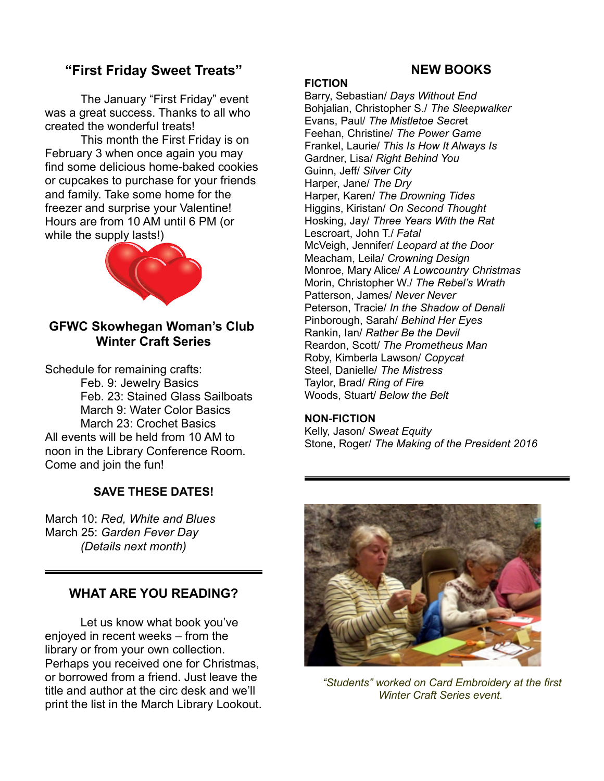# **"First Friday Sweet Treats"**

The January "First Friday" event was a great success. Thanks to all who created the wonderful treats!

This month the First Friday is on February 3 when once again you may find some delicious home-baked cookies or cupcakes to purchase for your friends and family. Take some home for the freezer and surprise your Valentine! Hours are from 10 AM until 6 PM (or while the supply lasts!)



# **GFWC Skowhegan Woman's Club Winter Craft Series**

Schedule for remaining crafts: Feb. 9: Jewelry Basics Feb. 23: Stained Glass Sailboats March 9: Water Color Basics March 23: Crochet Basics All events will be held from 10 AM to noon in the Library Conference Room. Come and join the fun!

## **SAVE THESE DATES!**

March 10: *Red, White and Blues* March 25: *Garden Fever Day (Details next month)*

# **WHAT ARE YOU READING?**

Let us know what book you've enjoyed in recent weeks – from the library or from your own collection. Perhaps you received one for Christmas, or borrowed from a friend. Just leave the title and author at the circ desk and we'll print the list in the March Library Lookout.

# **NEW BOOKS**

## **FICTION**

Barry, Sebastian/ *Days Without End* Bohjalian, Christopher S./ *The Sleepwalker* Evans, Paul/ *The Mistletoe Secre*t Feehan, Christine/ *The Power Game* Frankel, Laurie/ *This Is How It Always Is* Gardner, Lisa/ *Right Behind You* Guinn, Jeff/ *Silver City* Harper, Jane/ *The Dry* Harper, Karen/ *The Drowning Tides* Higgins, Kiristan/ *On Second Thought* Hosking, Jay/ *Three Years With the Rat* Lescroart, John T./ *Fatal* McVeigh, Jennifer/ *Leopard at the Door* Meacham, Leila/ *Crowning Design* Monroe, Mary Alice/ *A Lowcountry Christmas* Morin, Christopher W./ *The Rebel's Wrath* Patterson, James/ *Never Never* Peterson, Tracie/ *In the Shadow of Denali* Pinborough, Sarah/ *Behind Her Eyes* Rankin, Ian/ *Rather Be the Devil* Reardon, Scott/ *The Prometheus Man* Roby, Kimberla Lawson/ *Copycat* Steel, Danielle/ *The Mistress* Taylor, Brad/ *Ring of Fire* Woods, Stuart/ *Below the Belt*

## **NON-FICTION**

Kelly, Jason/ *Sweat Equity* Stone, Roger/ *The Making of the President 2016*



 *"Students" worked on Card Embroidery at the first Winter Craft Series event.*